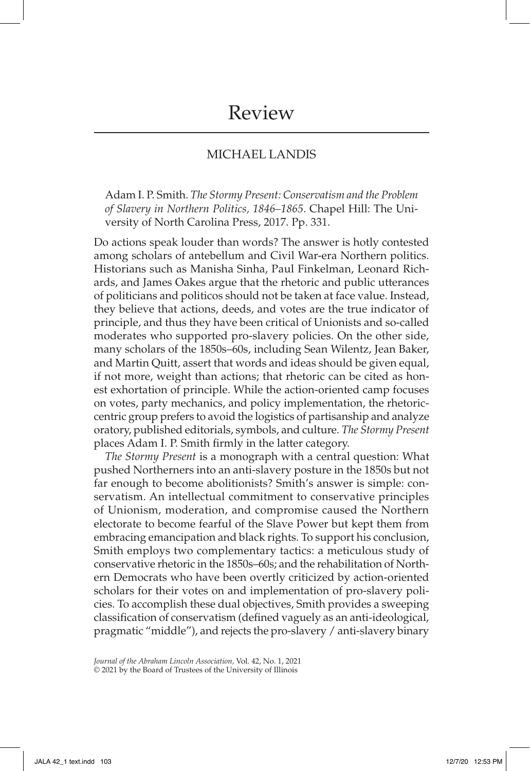## MICHAEL LANDIS

Adam I. P. Smith. *The Stormy Present: Conservatism and the Problem of Slavery in Northern Politics, 1846–1865*. Chapel Hill: The University of North Carolina Press, 2017. Pp. 331.

Do actions speak louder than words? The answer is hotly contested among scholars of antebellum and Civil War-era Northern politics. Historians such as Manisha Sinha, Paul Finkelman, Leonard Richards, and James Oakes argue that the rhetoric and public utterances of politicians and politicos should not be taken at face value. Instead, they believe that actions, deeds, and votes are the true indicator of principle, and thus they have been critical of Unionists and so-called moderates who supported pro-slavery policies. On the other side, many scholars of the 1850s–60s, including Sean Wilentz, Jean Baker, and Martin Quitt, assert that words and ideas should be given equal, if not more, weight than actions; that rhetoric can be cited as honest exhortation of principle. While the action-oriented camp focuses on votes, party mechanics, and policy implementation, the rhetoriccentric group prefers to avoid the logistics of partisanship and analyze oratory, published editorials, symbols, and culture. *The Stormy Present* places Adam I. P. Smith firmly in the latter category.

*The Stormy Present* is a monograph with a central question: What pushed Northerners into an anti-slavery posture in the 1850s but not far enough to become abolitionists? Smith's answer is simple: conservatism. An intellectual commitment to conservative principles of Unionism, moderation, and compromise caused the Northern electorate to become fearful of the Slave Power but kept them from embracing emancipation and black rights. To support his conclusion, Smith employs two complementary tactics: a meticulous study of conservative rhetoric in the 1850s–60s; and the rehabilitation of Northern Democrats who have been overtly criticized by action-oriented scholars for their votes on and implementation of pro-slavery policies. To accomplish these dual objectives, Smith provides a sweeping classification of conservatism (defined vaguely as an anti-ideological, pragmatic "middle"), and rejects the pro-slavery / anti-slavery binary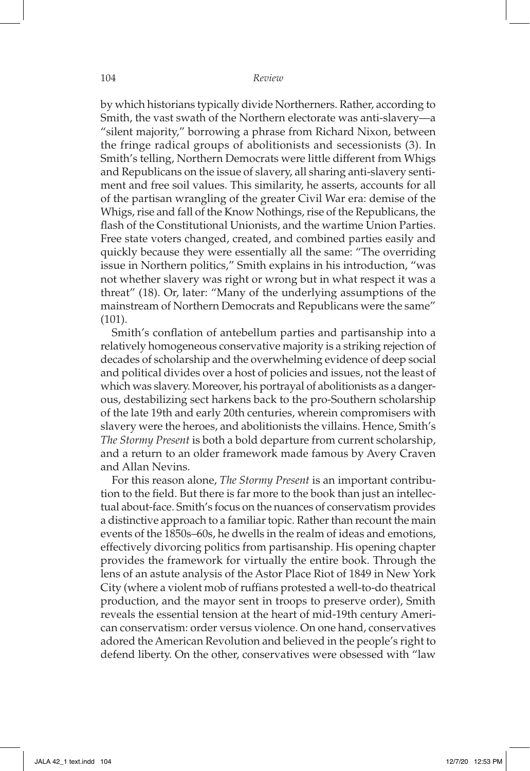by which historians typically divide Northerners. Rather, according to Smith, the vast swath of the Northern electorate was anti-slavery—a "silent majority," borrowing a phrase from Richard Nixon, between the fringe radical groups of abolitionists and secessionists (3). In Smith's telling, Northern Democrats were little different from Whigs and Republicans on the issue of slavery, all sharing anti-slavery sentiment and free soil values. This similarity, he asserts, accounts for all of the partisan wrangling of the greater Civil War era: demise of the Whigs, rise and fall of the Know Nothings, rise of the Republicans, the flash of the Constitutional Unionists, and the wartime Union Parties. Free state voters changed, created, and combined parties easily and quickly because they were essentially all the same: "The overriding issue in Northern politics," Smith explains in his introduction, "was not whether slavery was right or wrong but in what respect it was a threat" (18). Or, later: "Many of the underlying assumptions of the mainstream of Northern Democrats and Republicans were the same" (101).

Smith's conflation of antebellum parties and partisanship into a relatively homogeneous conservative majority is a striking rejection of decades of scholarship and the overwhelming evidence of deep social and political divides over a host of policies and issues, not the least of which was slavery. Moreover, his portrayal of abolitionists as a dangerous, destabilizing sect harkens back to the pro-Southern scholarship of the late 19th and early 20th centuries, wherein compromisers with slavery were the heroes, and abolitionists the villains. Hence, Smith's *The Stormy Present* is both a bold departure from current scholarship, and a return to an older framework made famous by Avery Craven and Allan Nevins.

For this reason alone, *The Stormy Present* is an important contribution to the field. But there is far more to the book than just an intellectual about-face. Smith's focus on the nuances of conservatism provides a distinctive approach to a familiar topic. Rather than recount the main events of the 1850s–60s, he dwells in the realm of ideas and emotions, effectively divorcing politics from partisanship. His opening chapter provides the framework for virtually the entire book. Through the lens of an astute analysis of the Astor Place Riot of 1849 in New York City (where a violent mob of ruffians protested a well-to-do theatrical production, and the mayor sent in troops to preserve order), Smith reveals the essential tension at the heart of mid-19th century American conservatism: order versus violence. On one hand, conservatives adored the American Revolution and believed in the people's right to defend liberty. On the other, conservatives were obsessed with "law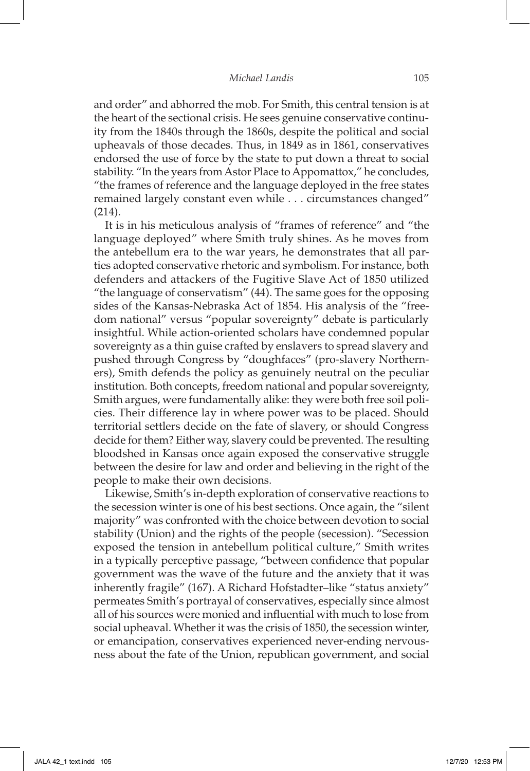and order" and abhorred the mob. For Smith, this central tension is at the heart of the sectional crisis. He sees genuine conservative continuity from the 1840s through the 1860s, despite the political and social upheavals of those decades. Thus, in 1849 as in 1861, conservatives endorsed the use of force by the state to put down a threat to social stability. "In the years from Astor Place to Appomattox," he concludes, "the frames of reference and the language deployed in the free states remained largely constant even while . . . circumstances changed" (214).

It is in his meticulous analysis of "frames of reference" and "the language deployed" where Smith truly shines. As he moves from the antebellum era to the war years, he demonstrates that all parties adopted conservative rhetoric and symbolism. For instance, both defenders and attackers of the Fugitive Slave Act of 1850 utilized "the language of conservatism" (44). The same goes for the opposing sides of the Kansas-Nebraska Act of 1854. His analysis of the "freedom national" versus "popular sovereignty" debate is particularly insightful. While action-oriented scholars have condemned popular sovereignty as a thin guise crafted by enslavers to spread slavery and pushed through Congress by "doughfaces" (pro-slavery Northerners), Smith defends the policy as genuinely neutral on the peculiar institution. Both concepts, freedom national and popular sovereignty, Smith argues, were fundamentally alike: they were both free soil policies. Their difference lay in where power was to be placed. Should territorial settlers decide on the fate of slavery, or should Congress decide for them? Either way, slavery could be prevented. The resulting bloodshed in Kansas once again exposed the conservative struggle between the desire for law and order and believing in the right of the people to make their own decisions.

Likewise, Smith's in-depth exploration of conservative reactions to the secession winter is one of his best sections. Once again, the "silent majority" was confronted with the choice between devotion to social stability (Union) and the rights of the people (secession). "Secession exposed the tension in antebellum political culture," Smith writes in a typically perceptive passage, "between confidence that popular government was the wave of the future and the anxiety that it was inherently fragile" (167). A Richard Hofstadter–like "status anxiety" permeates Smith's portrayal of conservatives, especially since almost all of his sources were monied and influential with much to lose from social upheaval. Whether it was the crisis of 1850, the secession winter, or emancipation, conservatives experienced never-ending nervousness about the fate of the Union, republican government, and social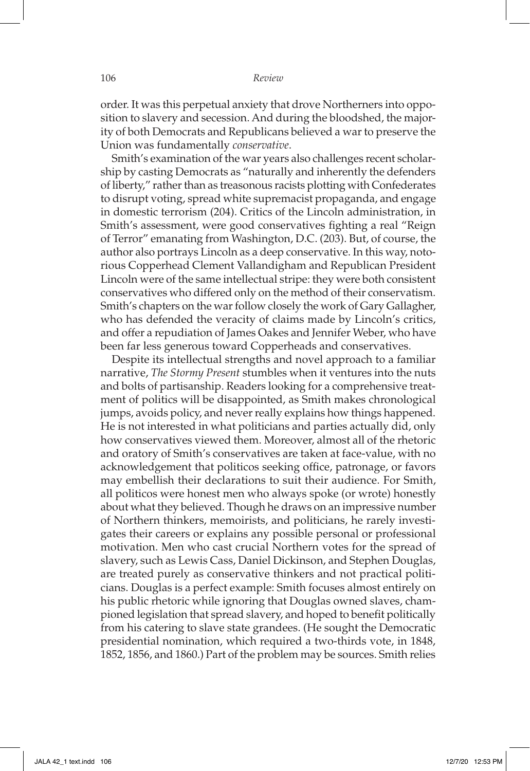## 106 *Review*

order. It was this perpetual anxiety that drove Northerners into opposition to slavery and secession. And during the bloodshed, the majority of both Democrats and Republicans believed a war to preserve the Union was fundamentally *conservative*.

Smith's examination of the war years also challenges recent scholarship by casting Democrats as "naturally and inherently the defenders of liberty," rather than as treasonous racists plotting with Confederates to disrupt voting, spread white supremacist propaganda, and engage in domestic terrorism (204). Critics of the Lincoln administration, in Smith's assessment, were good conservatives fighting a real "Reign of Terror" emanating from Washington, D.C. (203). But, of course, the author also portrays Lincoln as a deep conservative. In this way, notorious Copperhead Clement Vallandigham and Republican President Lincoln were of the same intellectual stripe: they were both consistent conservatives who differed only on the method of their conservatism. Smith's chapters on the war follow closely the work of Gary Gallagher, who has defended the veracity of claims made by Lincoln's critics, and offer a repudiation of James Oakes and Jennifer Weber, who have been far less generous toward Copperheads and conservatives.

Despite its intellectual strengths and novel approach to a familiar narrative, *The Stormy Present* stumbles when it ventures into the nuts and bolts of partisanship. Readers looking for a comprehensive treatment of politics will be disappointed, as Smith makes chronological jumps, avoids policy, and never really explains how things happened. He is not interested in what politicians and parties actually did, only how conservatives viewed them. Moreover, almost all of the rhetoric and oratory of Smith's conservatives are taken at face-value, with no acknowledgement that politicos seeking office, patronage, or favors may embellish their declarations to suit their audience. For Smith, all politicos were honest men who always spoke (or wrote) honestly about what they believed. Though he draws on an impressive number of Northern thinkers, memoirists, and politicians, he rarely investigates their careers or explains any possible personal or professional motivation. Men who cast crucial Northern votes for the spread of slavery, such as Lewis Cass, Daniel Dickinson, and Stephen Douglas, are treated purely as conservative thinkers and not practical politicians. Douglas is a perfect example: Smith focuses almost entirely on his public rhetoric while ignoring that Douglas owned slaves, championed legislation that spread slavery, and hoped to benefit politically from his catering to slave state grandees. (He sought the Democratic presidential nomination, which required a two-thirds vote, in 1848, 1852, 1856, and 1860.) Part of the problem may be sources. Smith relies